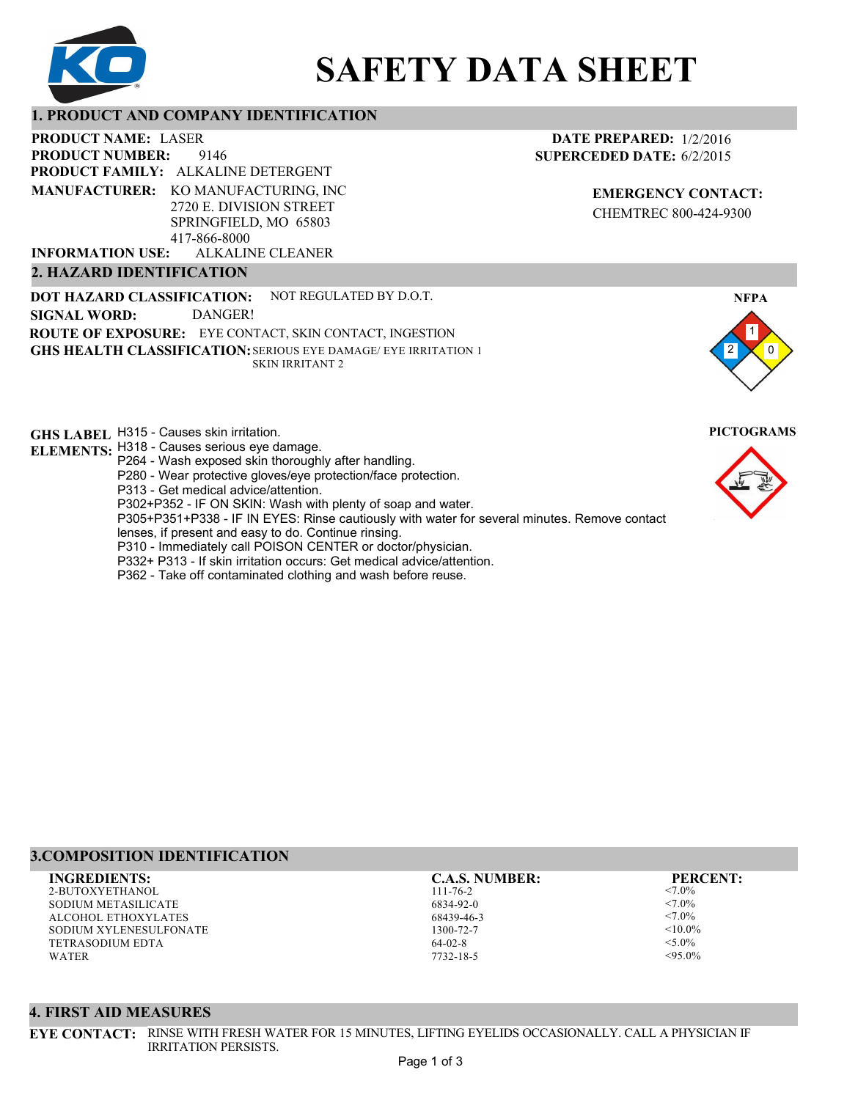

# **SAFETY DATA SHEET**

# **1. PRODUCT AND COMPANY IDENTIFICATION**

9146 PRODUCT NAME: LASER **PRODUCT FAMILY: ALKALINE DETERGENT** ALKALINE CLEANER **PRODUCT NUMBER: MANUFACTURER:** KO MANUFACTURING, INC 2720 E. DIVISION STREET SPRINGFIELD, MO 65803 417-866-8000 **INFORMATION USE:**

#### **2. HAZARD IDENTIFICATION**

**DOT HAZARD CLASSIFICATION: GHS HEALTH CLASSIFICATION:** SERIOUS EYE DAMAGE/ EYE IRRITATION 1 **ROUTE OF EXPOSURE:** EYE CONTACT, SKIN CONTACT, INGESTION NOT REGULATED BY D.O.T. SKIN IRRITANT 2 **SIGNAL WORD:** DANGER!

**GHS LABEL**  H315 - Causes skin irritation. **PICTOGRAMS**

- **ELEMENTS:** H318 Causes serious eye damage.
	- P264 Wash exposed skin thoroughly after handling. P280 - Wear protective gloves/eye protection/face protection.
	- P313 Get medical advice/attention.
	- P302+P352 IF ON SKIN: Wash with plenty of soap and water.

P305+P351+P338 - IF IN EYES: Rinse cautiously with water for several minutes. Remove contact

- lenses, if present and easy to do. Continue rinsing.
- P310 Immediately call POISON CENTER or doctor/physician.
- P332+ P313 If skin irritation occurs: Get medical advice/attention.
- P362 Take off contaminated clothing and wash before reuse.

# **DATE PREPARED:** 1/2/2016 **SUPERCEDED DATE:** 6/2/2015

**EMERGENCY CONTACT:** CHEMTREC 800-424-9300



# **3.COMPOSITION IDENTIFICATION**

2-BUTOXYETHANOL SODIUM METASILICATE ALCOHOL ETHOXYLATES SODIUM XYLENESULFONATE TETRASODIUM EDTA WATER **INGREDIENTS: C.A.S. NUMBER: PERCENT:**

111-76-2 6834-92-0 68439-46-3 1300-72-7 64-02-8

7732-18-5

<7.0%  $< 7.0\%$ <7.0%  $< 10.0\%$  $< 5.0\%$  $<95.0\%$ 

#### **4. FIRST AID MEASURES**

**EYE CONTACT:** RINSE WITH FRESH WATER FOR 15 MINUTES, LIFTING EYELIDS OCCASIONALLY. CALL A PHYSICIAN IF IRRITATION PERSISTS.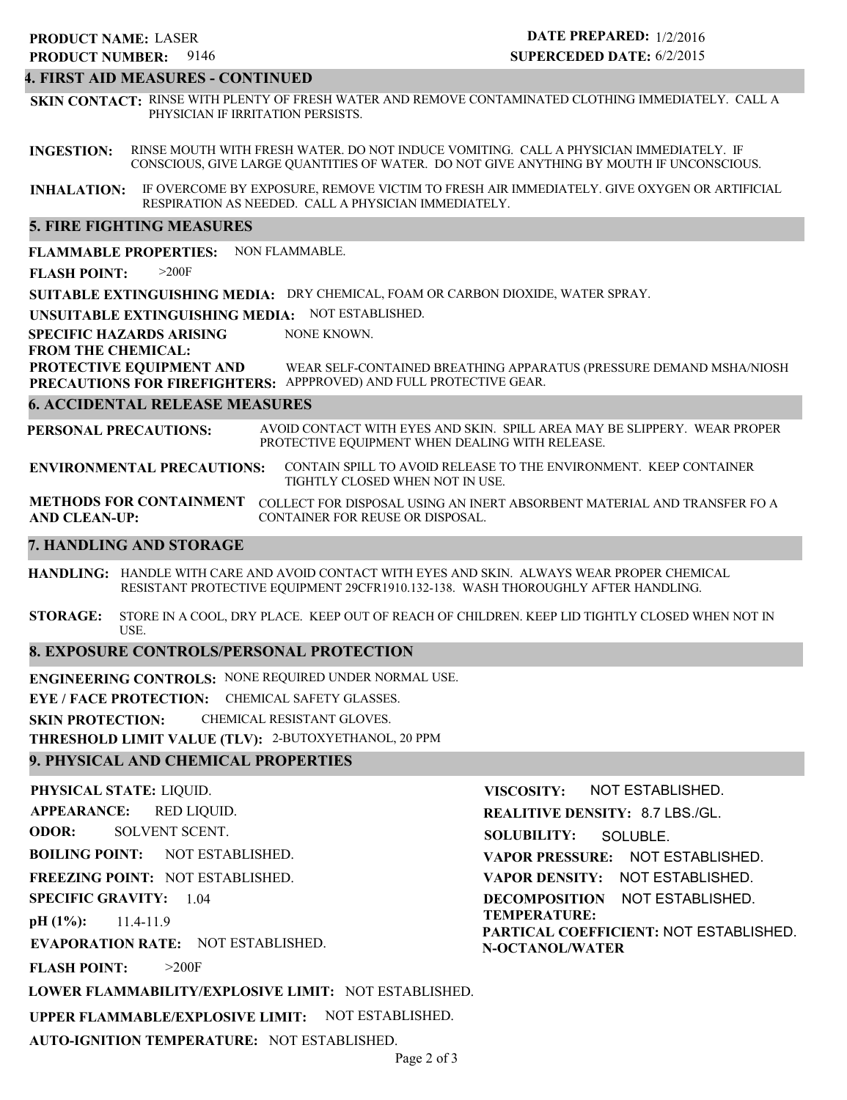# 9146 **PRODUCT NUMBER: PRODUCT NAME: LASER**

# **DATE PREPARED:** 1/2/2016 **SUPERCEDED DATE:** 6/2/2015

# **4. FIRST AID MEASURES - CONTINUED**

**SKIN CONTACT:** RINSE WITH PLENTY OF FRESH WATER AND REMOVE CONTAMINATED CLOTHING IMMEDIATELY. CALL A PHYSICIAN IF IRRITATION PERSISTS.

**INGESTION:** RINSE MOUTH WITH FRESH WATER. DO NOT INDUCE VOMITING. CALL A PHYSICIAN IMMEDIATELY. IF CONSCIOUS, GIVE LARGE QUANTITIES OF WATER. DO NOT GIVE ANYTHING BY MOUTH IF UNCONSCIOUS.

**INHALATION:** IF OVERCOME BY EXPOSURE, REMOVE VICTIM TO FRESH AIR IMMEDIATELY. GIVE OXYGEN OR ARTIFICIAL RESPIRATION AS NEEDED. CALL A PHYSICIAN IMMEDIATELY.

#### **5. FIRE FIGHTING MEASURES**

**FLAMMABLE PROPERTIES:** NON FLAMMABLE.

**FLASH POINT:** >200F

**SUITABLE EXTINGUISHING MEDIA:** DRY CHEMICAL, FOAM OR CARBON DIOXIDE, WATER SPRAY.

**UNSUITABLE EXTINGUISHING MEDIA:** NOT ESTABLISHED.

**SPECIFIC HAZARDS ARISING** NONE KNOWN.

#### **FROM THE CHEMICAL:**

**PROTECTIVE EQUIPMENT AND PRECAUTIONS FOR FIREFIGHTERS:** APPPROVED) AND FULL PROTECTIVE GEAR. WEAR SELF-CONTAINED BREATHING APPARATUS (PRESSURE DEMAND MSHA/NIOSH

#### **6. ACCIDENTAL RELEASE MEASURES**

**PERSONAL PRECAUTIONS:** AVOID CONTACT WITH EYES AND SKIN. SPILL AREA MAY BE SLIPPERY. WEAR PROPER PROTECTIVE EQUIPMENT WHEN DEALING WITH RELEASE.

**ENVIRONMENTAL PRECAUTIONS:** CONTAIN SPILL TO AVOID RELEASE TO THE ENVIRONMENT. KEEP CONTAINER TIGHTLY CLOSED WHEN NOT IN USE.

**METHODS FOR CONTAINMENT** COLLECT FOR DISPOSAL USING AN INERT ABSORBENT MATERIAL AND TRANSFER FO A **AND CLEAN-UP:** CONTAINER FOR REUSE OR DISPOSAL.

#### **7. HANDLING AND STORAGE**

**HANDLING:** HANDLE WITH CARE AND AVOID CONTACT WITH EYES AND SKIN. ALWAYS WEAR PROPER CHEMICAL RESISTANT PROTECTIVE EQUIPMENT 29CFR1910.132-138. WASH THOROUGHLY AFTER HANDLING.

**STORAGE:** STORE IN A COOL, DRY PLACE. KEEP OUT OF REACH OF CHILDREN. KEEP LID TIGHTLY CLOSED WHEN NOT IN USE.

#### **8. EXPOSURE CONTROLS/PERSONAL PROTECTION**

**ENGINEERING CONTROLS:** NONE REQUIRED UNDER NORMAL USE.

**EYE / FACE PROTECTION:** CHEMICAL SAFETY GLASSES.

**SKIN PROTECTION:** CHEMICAL RESISTANT GLOVES.

**THRESHOLD LIMIT VALUE (TLV):** 2-BUTOXYETHANOL, 20 PPM

# **9. PHYSICAL AND CHEMICAL PROPERTIES**

**PHYSICAL STATE:** LIQUID. **APPEARANCE: ODOR: BOILING POINT:** NOT ESTABLISHED. **FREEZING POINT:** NOT ESTABLISHED. **SPECIFIC GRAVITY:** 1.04 **pH (1%): EVAPORATION RATE:** NOT ESTABLISHED. **FLASH POINT: LOWER FLAMMABILITY/EXPLOSIVE LIMIT:** NOT ESTABLISHED. **UPPER FLAMMABLE/EXPLOSIVE LIMIT:** NOT ESTABLISHED. 11.4-11.9 >200F RED LIQUID. SOLVENT SCENT. **VISCOSITY: REALITIVE DENSITY:** 8.7 LBS./GL. **SOLUBILITY: VAPOR PRESSURE:** NOT ESTABLISHED. **VAPOR DENSITY:** NOT ESTABLISHED. **DECOMPOSITION** NOT ESTABLISHED. **TEMPERATURE: PARTICAL COEFFICIENT:** NOT ESTABLISHED. **N-OCTANOL/WATER** NOT ESTABLISHED. SOLUBLE.

**AUTO-IGNITION TEMPERATURE:** NOT ESTABLISHED.